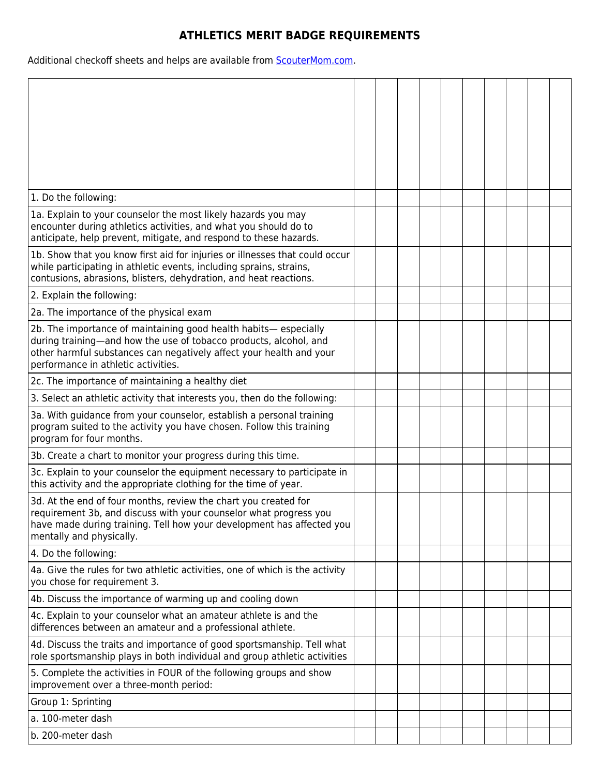## **ATHLETICS MERIT BADGE REQUIREMENTS**

Additional checkoff sheets and helps are available from **ScouterMom.com**.

| 1. Do the following:                                                                                                                                                                                                                                |  |  |  |  |  |
|-----------------------------------------------------------------------------------------------------------------------------------------------------------------------------------------------------------------------------------------------------|--|--|--|--|--|
| 1a. Explain to your counselor the most likely hazards you may<br>encounter during athletics activities, and what you should do to<br>anticipate, help prevent, mitigate, and respond to these hazards.                                              |  |  |  |  |  |
| 1b. Show that you know first aid for injuries or illnesses that could occur<br>while participating in athletic events, including sprains, strains,<br>contusions, abrasions, blisters, dehydration, and heat reactions.                             |  |  |  |  |  |
| 2. Explain the following:                                                                                                                                                                                                                           |  |  |  |  |  |
| 2a. The importance of the physical exam                                                                                                                                                                                                             |  |  |  |  |  |
| 2b. The importance of maintaining good health habits- especially<br>during training-and how the use of tobacco products, alcohol, and<br>other harmful substances can negatively affect your health and your<br>performance in athletic activities. |  |  |  |  |  |
| 2c. The importance of maintaining a healthy diet                                                                                                                                                                                                    |  |  |  |  |  |
| 3. Select an athletic activity that interests you, then do the following:                                                                                                                                                                           |  |  |  |  |  |
| 3a. With guidance from your counselor, establish a personal training<br>program suited to the activity you have chosen. Follow this training<br>program for four months.                                                                            |  |  |  |  |  |
| 3b. Create a chart to monitor your progress during this time.                                                                                                                                                                                       |  |  |  |  |  |
| 3c. Explain to your counselor the equipment necessary to participate in<br>this activity and the appropriate clothing for the time of year.                                                                                                         |  |  |  |  |  |
| 3d. At the end of four months, review the chart you created for<br>requirement 3b, and discuss with your counselor what progress you<br>have made during training. Tell how your development has affected you<br>mentally and physically.           |  |  |  |  |  |
| 4. Do the following:                                                                                                                                                                                                                                |  |  |  |  |  |
| 4a. Give the rules for two athletic activities, one of which is the activity<br>you chose for requirement 3.                                                                                                                                        |  |  |  |  |  |
| 4b. Discuss the importance of warming up and cooling down                                                                                                                                                                                           |  |  |  |  |  |
| 4c. Explain to your counselor what an amateur athlete is and the<br>differences between an amateur and a professional athlete.                                                                                                                      |  |  |  |  |  |
| 4d. Discuss the traits and importance of good sportsmanship. Tell what<br>role sportsmanship plays in both individual and group athletic activities                                                                                                 |  |  |  |  |  |
| 5. Complete the activities in FOUR of the following groups and show<br>improvement over a three-month period:                                                                                                                                       |  |  |  |  |  |
| Group 1: Sprinting                                                                                                                                                                                                                                  |  |  |  |  |  |
| a. 100-meter dash                                                                                                                                                                                                                                   |  |  |  |  |  |
| b. 200-meter dash                                                                                                                                                                                                                                   |  |  |  |  |  |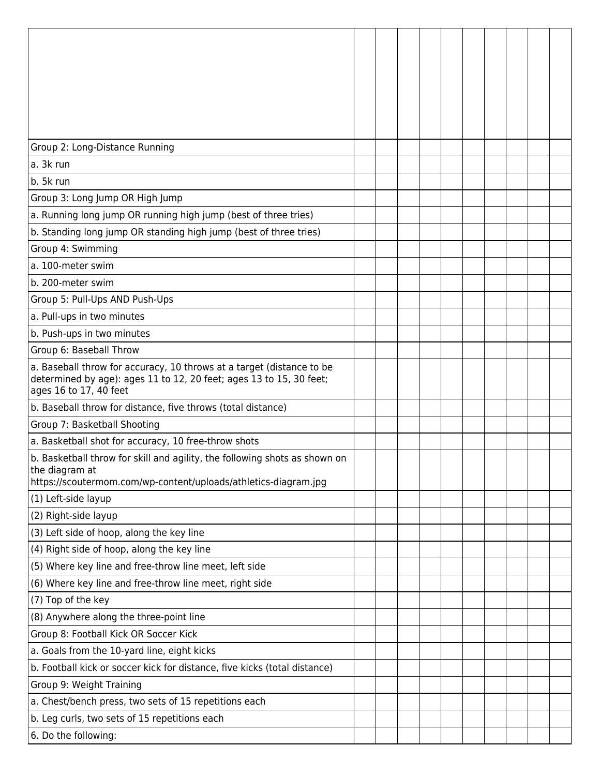| Group 2: Long-Distance Running                                                                |  |  |  |  |  |
|-----------------------------------------------------------------------------------------------|--|--|--|--|--|
| a. 3k run                                                                                     |  |  |  |  |  |
| b. 5k run                                                                                     |  |  |  |  |  |
| Group 3: Long Jump OR High Jump                                                               |  |  |  |  |  |
| a. Running long jump OR running high jump (best of three tries)                               |  |  |  |  |  |
| b. Standing long jump OR standing high jump (best of three tries)                             |  |  |  |  |  |
| Group 4: Swimming                                                                             |  |  |  |  |  |
| a. 100-meter swim                                                                             |  |  |  |  |  |
| b. 200-meter swim                                                                             |  |  |  |  |  |
| Group 5: Pull-Ups AND Push-Ups                                                                |  |  |  |  |  |
| a. Pull-ups in two minutes                                                                    |  |  |  |  |  |
| b. Push-ups in two minutes                                                                    |  |  |  |  |  |
| Group 6: Baseball Throw                                                                       |  |  |  |  |  |
| a. Baseball throw for accuracy, 10 throws at a target (distance to be                         |  |  |  |  |  |
| determined by age): ages 11 to 12, 20 feet; ages 13 to 15, 30 feet;<br>ages 16 to 17, 40 feet |  |  |  |  |  |
| b. Baseball throw for distance, five throws (total distance)                                  |  |  |  |  |  |
| Group 7: Basketball Shooting                                                                  |  |  |  |  |  |
| a. Basketball shot for accuracy, 10 free-throw shots                                          |  |  |  |  |  |
| b. Basketball throw for skill and agility, the following shots as shown on                    |  |  |  |  |  |
| the diagram at<br>https://scoutermom.com/wp-content/uploads/athletics-diagram.jpg             |  |  |  |  |  |
| (1) Left-side layup                                                                           |  |  |  |  |  |
| (2) Right-side layup                                                                          |  |  |  |  |  |
| (3) Left side of hoop, along the key line                                                     |  |  |  |  |  |
| (4) Right side of hoop, along the key line                                                    |  |  |  |  |  |
| (5) Where key line and free-throw line meet, left side                                        |  |  |  |  |  |
| (6) Where key line and free-throw line meet, right side                                       |  |  |  |  |  |
| (7) Top of the key                                                                            |  |  |  |  |  |
| (8) Anywhere along the three-point line                                                       |  |  |  |  |  |
| Group 8: Football Kick OR Soccer Kick                                                         |  |  |  |  |  |
| a. Goals from the 10-yard line, eight kicks                                                   |  |  |  |  |  |
| b. Football kick or soccer kick for distance, five kicks (total distance)                     |  |  |  |  |  |
| Group 9: Weight Training                                                                      |  |  |  |  |  |
| a. Chest/bench press, two sets of 15 repetitions each                                         |  |  |  |  |  |
| b. Leg curls, two sets of 15 repetitions each                                                 |  |  |  |  |  |
| 6. Do the following:                                                                          |  |  |  |  |  |